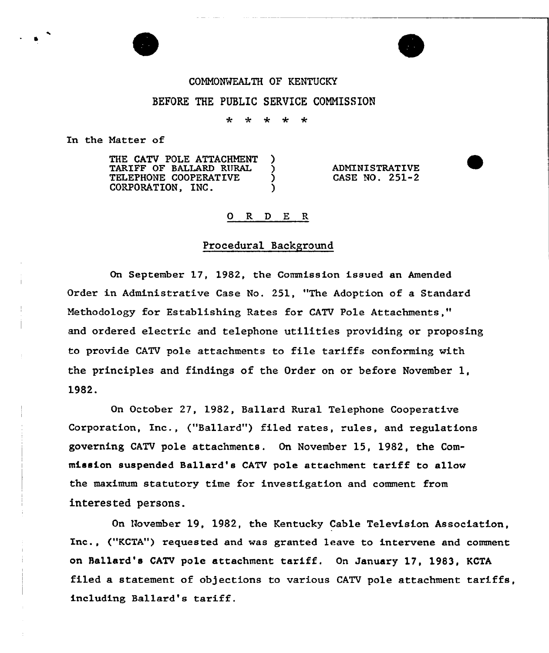#### COMMONWEALTH OF KENTUCKY

## BEFORE THE PUBLIC SERVICE CONNISSION

4.  $\star$ \* \*  $\star$ 

In the Natter of

THE CATV POLE ATTACHMENT )<br>TARIFF OF BALLARD RURAL ) TARIFF OF BALLARD RURAL )<br>TELEPHONE COOPERATIVE ) TELEPHONE COOPERATIVE  $\left.\begin{array}{ccc} \bullet & \bullet \\ \bullet & \bullet \end{array}\right\}$ CORPORATION, INC.

ADMINISTRATIVE CASE NO. 251-2

#### 0 R <sup>D</sup> E R

#### Procedural Background

On September 17, 1982, the Commission issued an Amended Order in Administrative Case No. 251, "The Adoption of a Standard Methodology for Establishing Rates for CATV Pole Attachments," and ordered electric and telephone utilities providing or proposing to provide CATV pole attachments to file tariffs conforming vith the principles and findings of the Order on or before November l, 1982.

On October 27, 1982, Ballard Rural Telephone Cooperative Corporation, Inc., ("Ballard") filed rates, rules, and regulations governing CATV pole attachments. On November 15, 1982, the Commission suspended Ba11ard's CATV pole attachment tariff to allow the maximum statutory time for investigation and comment from interested persons.

On November 19, 1982, the Kentucky Cable Television Association, Inc., ("KCTA") requested and was granted leave to intervene and comment on Ballard's CATV pole attachment tariff. On January 17, 1983, KCTA filed a statement of objections to various CATV pole attachment tariffs, including Ballard's tariff.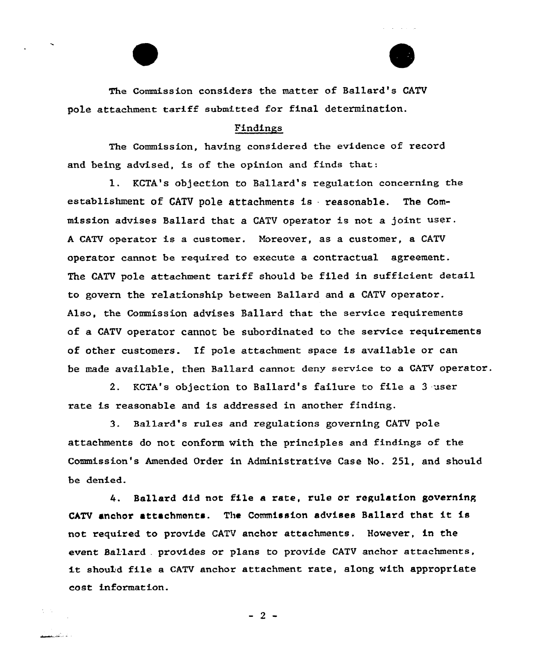The Commission considers the mattex of Ballard's CATV pole attachment tariff submitted for final determination.

### Findings

The Commission, having considered the evidence of record and being advised, is of the opinion and finds that:

1. KCTA's objection to Ballard's regulation concerning the establishment of CATV pole attachments is reasonable. The Commission advises Ballard that a CATV operator is not a joint user <sup>A</sup> CATV opexator is a customer. Moreover, as a customer, a CATV operator cannot be required to execute a contractual agreement. The CATV pole attachment tariff should be filed in sufficient detail to govern the relationship between Ballaxd and a CATV operator. Also, the Commission advises Ballard that the service requirements of a CATV operator cannot be subordinated to the service requirements of other customexs. If pole attachment space is available or can be made available, then Ballard cannot deny service to a CATV operator.

2. KCTA's objection to Ballard's failure to file a <sup>3</sup> user rate is reasonable and is addressed in another finding.

3. Ballard's rules and regulations governing CATV pole attachments do not conform with the principles and findings of the Commission's Amended Order in Administrative Case No. 251, and should be denied.

4. Ballard did not file a rate, rule or regulation governing CATV anchor attachments. The Commission advises Ballard that it is not required to provide CATV anchor attachments, However, in the event Ballard . provides or plans to provide CATV anchor attachments, it should file a CATV anchor attachment rate, along with appropriate cost information.

 $-2$  –

ا عام منگ<u>فت است.</u>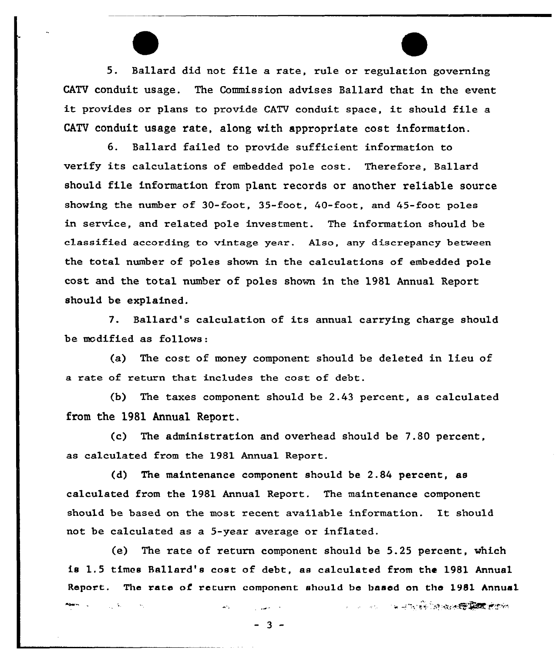5. Ballard did not file a rate, rule or regulation governing CATV conduit usage. The Commission advises Ballard that in the event it provides or plans to provide CATV conduit space, it should file <sup>a</sup> CATV conduit usage rate, along with appropriate cost information.

6. Ballard failed to provide sufficient information to verify its calculations of embedded pole cost. Therefore, Ballard should file information from plant records or another reliable source showing the number of 30-foot, 35-foot, 40-foot, and 45-foot poles in service, and related pole investment. The information should be classified according to vintage year. Also, any discrepancy between the total number of poles shown in the calculations of embedded pole cost and the total number of poles shown in the 1981 Annual Report should be explained.

7. Ballard's calculation of its annual carrying charge should be modified as follows:

(a) The cost of money component should be deleted in lieu of a rate of return that includes the cost of debt.

(b) The taxes component should be  $2.43$  percent, as calculated from the 1981 Annual Report.

(c) The administration and overhead should be 7.80 percent, as calculated from the 1981 Annual Report.

(d) The maintenance component should be 2.84 percent, as calculated from the 1981 Annual Report. The maintenance component should be based on the most recent available information. It should not be calculated as a 5-year average or inflated.

(e) The rate of return component should be 5.25 percent, which is 1.5 times Ballard's cost of debt, as calculated from the 1981 Annual Report. The rate of return component should be based on the 1981 Annual

A STATISTICS IN THE RESIDENCE OF A STATISTICS OF A STATISTICS.

 $-3 -$ 

 $\mathcal{L} = \{ \mathbf{y}_1, \mathbf{y}_2, \ldots, \mathbf{y}_N \}$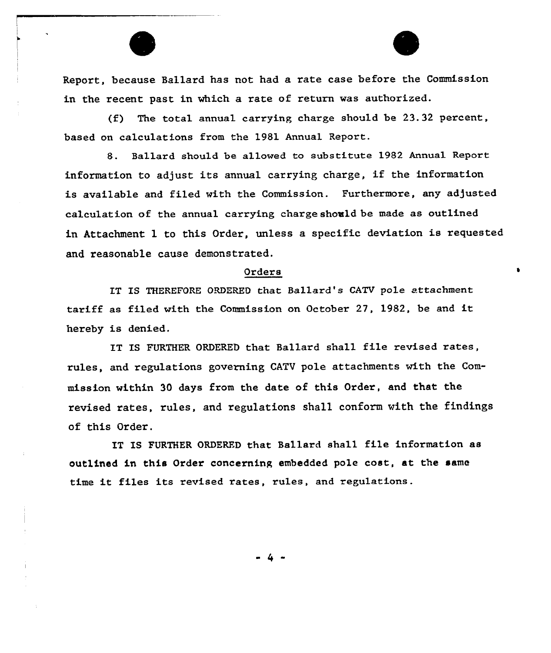

Report, because Ballard has not had a rate case before the Commission in the recent past in which a rate of return was authorized.

(f) The total annual carrying charge should be 23.32 percent, based on calculations from the 1981 Annual Report.

8. Ballard should be allowed to substitute 1982 Annual Report information to adjust its annual carrying charge, if the information is available and filed with the Commission. Furthermore, any adjusted calculation of the annual carrying chaxge should be made as outlined in Attachment 1 to this Order, unless a specific deviation is requested and reasonable cause demonstrated.

#### Orders

IT IS THEREFORE ORDERED that Ballard's CATV pole attachment tariff as filed with the Commission on October 27, 1982, be and it hereby is denied.

IT IS FURTHER ORDERED that Ballard shall file revised rates, xules, and xegulations governing CATV pole attachments with the Commission within 30 days from the date of this Order, and that the revised rates, rules, and regulations sha11 conform with the findings of this Order.

IT IS FURTHER ORDERED that Ballaxd shall file information as outlined in this Order concerning embedded pole cost, at the same time it files its revised rates, rules, and regulations.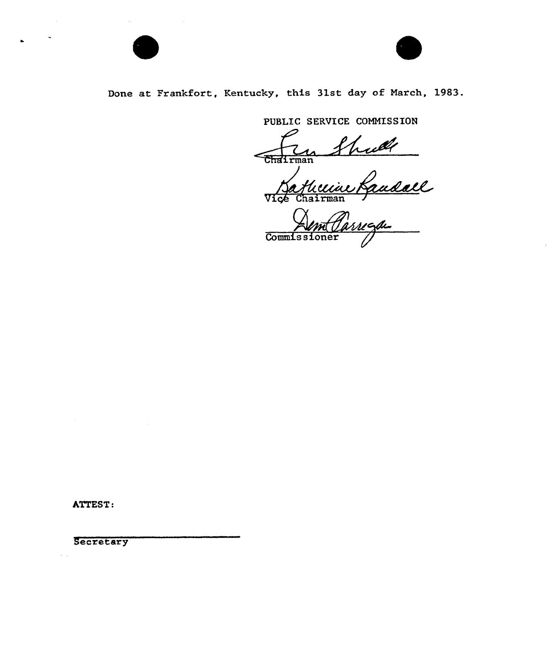

# Done at Frankfort, Kentucky, this 31st day of March, 1983.

PUBLIC SERVICE COMMISSION

 $\overline{\text{Chalrman}}$ 

Bathuin Vice Chairm

Commissioner

ATTEST:

**Secretary**